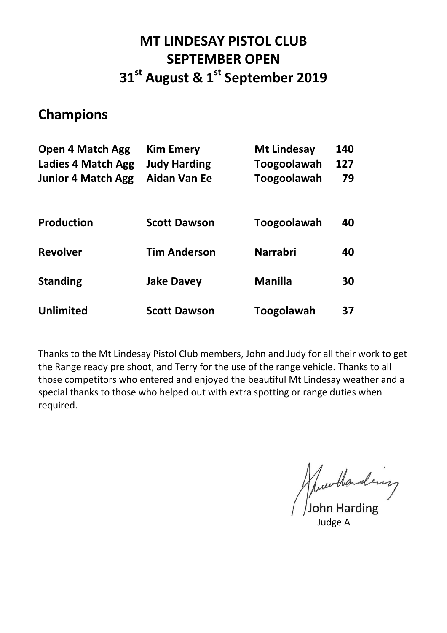# **MT LINDESAY PISTOL CLUB SEPTEMBER OPEN 31 st August & 1 st September 2019**

### **Champions**

| <b>Open 4 Match Agg</b>   | <b>Kim Emery</b>    | <b>Mt Lindesay</b> | 140 |
|---------------------------|---------------------|--------------------|-----|
| <b>Ladies 4 Match Agg</b> | <b>Judy Harding</b> | Toogoolawah        | 127 |
| <b>Junior 4 Match Agg</b> | <b>Aidan Van Ee</b> | <b>Toogoolawah</b> | 79  |
| <b>Production</b>         | <b>Scott Dawson</b> | Toogoolawah        | 40  |
| <b>Revolver</b>           | <b>Tim Anderson</b> | <b>Narrabri</b>    | 40  |
| <b>Standing</b>           | <b>Jake Davey</b>   | Manilla            | 30  |
| <b>Unlimited</b>          | <b>Scott Dawson</b> | Toogolawah         | 37  |

Thanks to the Mt Lindesay Pistol Club members, John and Judy for all their work to get the Range ready pre shoot, and Terry for the use of the range vehicle. Thanks to all those competitors who entered and enjoyed the beautiful Mt Lindesay weather and a special thanks to those who helped out with extra spotting or range duties when required.

June Handing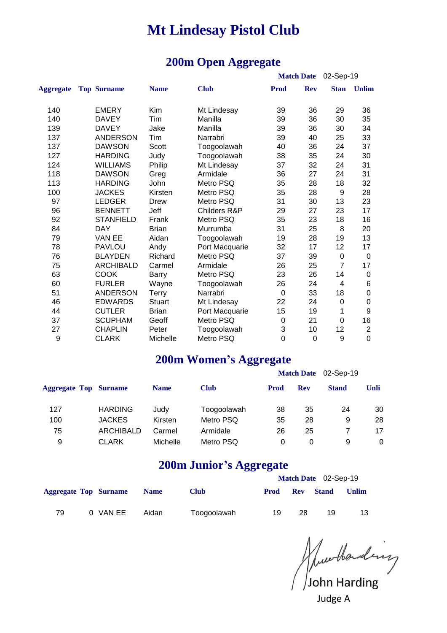#### **200m Open Aggregate**

|                  |                    |               |                |                  | <b>Match Date</b> | 02-Sep-19      |                  |  |
|------------------|--------------------|---------------|----------------|------------------|-------------------|----------------|------------------|--|
| <b>Aggregate</b> | <b>Top Surname</b> | <b>Name</b>   | <b>Club</b>    | Prod             | <b>Rev</b>        | <b>Stan</b>    | <b>Unlim</b>     |  |
| 140              | <b>EMERY</b>       | Kim           | Mt Lindesay    | 39               | 36                | 29             | 36               |  |
| 140              | <b>DAVEY</b>       | Tim           | Manilla        | 39               | 36                | 30             | 35               |  |
| 139              | <b>DAVEY</b>       | Jake          | Manilla        | 39               | 36                | 30             | 34               |  |
| 137              | <b>ANDERSON</b>    | Tim           | Narrabri       | 39               | 40                | 25             | 33               |  |
| 137              | <b>DAWSON</b>      | Scott         | Toogoolawah    | 40               | 36                | 24             | 37               |  |
| 127              | <b>HARDING</b>     | Judy          | Toogoolawah    | 38               | 35                | 24             | 30               |  |
| 124              | <b>WILLIAMS</b>    | Philip        | Mt Lindesay    | 37               | 32                | 24             | 31               |  |
| 118              | <b>DAWSON</b>      | Greg          | Armidale       | 36               | 27                | 24             | 31               |  |
| 113              | <b>HARDING</b>     | John          | Metro PSQ      | 35               | 28                | 18             | 32               |  |
| 100              | <b>JACKES</b>      | Kirsten       | Metro PSQ      | 35               | 28                | 9              | 28               |  |
| 97               | <b>LEDGER</b>      | Drew          | Metro PSQ      | 31               | 30                | 13             | 23               |  |
| 96               | <b>BENNETT</b>     | Jeff          | Childers R&P   | 29               | 27                | 23             | 17               |  |
| 92               | <b>STANFIELD</b>   | Frank         | Metro PSQ      | 35               | 23                | 18             | 16               |  |
| 84               | <b>DAY</b>         | <b>Brian</b>  | Murrumba       | 31               | 25                | 8              | 20               |  |
| 79               | VAN EE             | Aidan         | Toogoolawah    | 19               | 28                | 19             | 13               |  |
| 78               | <b>PAVLOU</b>      | Andy          | Port Macquarie | 32               | 17                | 12             | 17               |  |
| 76               | <b>BLAYDEN</b>     | Richard       | Metro PSQ      | 37               | 39                | $\mathbf 0$    | $\boldsymbol{0}$ |  |
| 75               | <b>ARCHIBALD</b>   | Carmel        | Armidale       | 26               | 25                | $\overline{7}$ | 17               |  |
| 63               | <b>COOK</b>        | Barry         | Metro PSQ      | 23               | 26                | 14             | 0                |  |
| 60               | <b>FURLER</b>      | Wayne         | Toogoolawah    | 26               | 24                | $\overline{4}$ | 6                |  |
| 51               | <b>ANDERSON</b>    | Terry         | Narrabri       | 0                | 33                | 18             | 0                |  |
| 46               | <b>EDWARDS</b>     | <b>Stuart</b> | Mt Lindesay    | 22               | 24                | $\mathbf 0$    | 0                |  |
| 44               | <b>CUTLER</b>      | <b>Brian</b>  | Port Macquarie | 15               | 19                | 1              | 9                |  |
| 37               | <b>SCUPHAM</b>     | Geoff         | Metro PSQ      | $\boldsymbol{0}$ | 21                | $\mathbf 0$    | 16               |  |
| 27               | <b>CHAPLIN</b>     | Peter         | Toogoolawah    | 3                | 10                | 12             | $\overline{2}$   |  |
| 9                | <b>CLARK</b>       | Michelle      | Metro PSQ      | $\mathbf 0$      | 0                 | 9              | $\mathbf 0$      |  |

#### **200m Women's Aggregate**

|                  | <b>Name</b>                  | <b>Club</b> | <b>Prod</b> | <b>Rev</b> | <b>Stand</b>      | Unli      |
|------------------|------------------------------|-------------|-------------|------------|-------------------|-----------|
| <b>HARDING</b>   | Judy                         | Toogoolawah | 38          | 35         | 24                | 30        |
| <b>JACKES</b>    | Kirsten                      | Metro PSQ   | 35          | 28         | 9                 | 28        |
| <b>ARCHIBALD</b> | Carmel                       | Armidale    | 26          | 25         |                   | 17        |
| <b>CLARK</b>     | Michelle                     | Metro PSQ   | 0           | 0          | 9                 | 0         |
|                  | <b>Aggregate Top Surname</b> |             |             |            | <b>Match Date</b> | 02-Sep-19 |

#### **200m Junior's Aggregate**

|                              |  |          |             |             |      | Match Date 02-Sep-19 |                  |       |  |  |  |  |  |
|------------------------------|--|----------|-------------|-------------|------|----------------------|------------------|-------|--|--|--|--|--|
| <b>Aggregate Top Surname</b> |  |          | <b>Name</b> | <b>Club</b> | Prod |                      | <b>Rev Stand</b> | Unlim |  |  |  |  |  |
| 79                           |  | 0 VAN EE | Aidan       | Toogoolawah | 19   | 28                   | 19               | 13    |  |  |  |  |  |

Murthanding<br>John Harding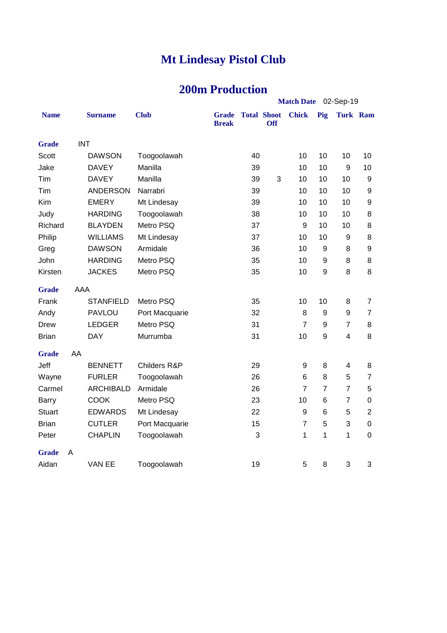### **200m Production**

|               |            |                  |                |                              |                    | Match Date 02-Sep-19 |                  |                  |                 |                  |  |
|---------------|------------|------------------|----------------|------------------------------|--------------------|----------------------|------------------|------------------|-----------------|------------------|--|
| <b>Name</b>   |            | <b>Surname</b>   | <b>Club</b>    | <b>Grade</b><br><b>Break</b> | <b>Total Shoot</b> | Off                  | <b>Chick</b>     | Pig              | <b>Turk Ram</b> |                  |  |
| <b>Grade</b>  | <b>INT</b> |                  |                |                              |                    |                      |                  |                  |                 |                  |  |
| <b>Scott</b>  |            | <b>DAWSON</b>    | Toogoolawah    |                              | 40                 |                      | 10               | 10               | 10              | 10               |  |
| Jake          |            | <b>DAVEY</b>     | Manilla        |                              | 39                 |                      | 10               | 10               | 9               | 10               |  |
| Tim           |            | <b>DAVEY</b>     | Manilla        |                              | 39                 | 3                    | 10               | 10               | 10              | 9                |  |
| Tim           |            | <b>ANDERSON</b>  | Narrabri       |                              | 39                 |                      | 10               | 10               | 10              | 9                |  |
| Kim           |            | <b>EMERY</b>     | Mt Lindesay    |                              | 39                 |                      | 10               | 10               | 10              | $\boldsymbol{9}$ |  |
| Judy          |            | <b>HARDING</b>   | Toogoolawah    |                              | 38                 |                      | 10               | 10               | 10              | 8                |  |
| Richard       |            | <b>BLAYDEN</b>   | Metro PSQ      |                              | 37                 |                      | 9                | 10               | 10              | 8                |  |
| Philip        |            | <b>WILLIAMS</b>  | Mt Lindesay    |                              | 37                 |                      | 10               | 10               | 9               | 8                |  |
| Greg          |            | <b>DAWSON</b>    | Armidale       |                              | 36                 |                      | 10               | $\boldsymbol{9}$ | 8               | $\boldsymbol{9}$ |  |
| John          |            | <b>HARDING</b>   | Metro PSQ      |                              | 35                 |                      | 10               | 9                | 8               | 8                |  |
| Kirsten       |            | <b>JACKES</b>    | Metro PSQ      |                              | 35                 |                      | 10               | 9                | 8               | 8                |  |
| <b>Grade</b>  | <b>AAA</b> |                  |                |                              |                    |                      |                  |                  |                 |                  |  |
| Frank         |            | <b>STANFIELD</b> | Metro PSQ      |                              | 35                 |                      | 10               | 10               | 8               | $\overline{7}$   |  |
| Andy          |            | <b>PAVLOU</b>    | Port Macquarie |                              | 32                 |                      | 8                | 9                | 9               | $\overline{7}$   |  |
| <b>Drew</b>   |            | <b>LEDGER</b>    | Metro PSQ      |                              | 31                 |                      | $\overline{7}$   | 9                | $\overline{7}$  | 8                |  |
| <b>Brian</b>  |            | <b>DAY</b>       | Murrumba       |                              | 31                 |                      | 10               | 9                | 4               | 8                |  |
| <b>Grade</b>  | AA         |                  |                |                              |                    |                      |                  |                  |                 |                  |  |
| Jeff          |            | <b>BENNETT</b>   | Childers R&P   |                              | 29                 |                      | 9                | 8                | 4               | 8                |  |
| Wayne         |            | <b>FURLER</b>    | Toogoolawah    |                              | 26                 |                      | 6                | 8                | 5               | $\overline{7}$   |  |
| Carmel        |            | <b>ARCHIBALD</b> | Armidale       |                              | 26                 |                      | $\overline{7}$   | $\overline{7}$   | $\overline{7}$  | 5                |  |
| <b>Barry</b>  |            | <b>COOK</b>      | Metro PSQ      |                              | 23                 |                      | 10               | 6                | $\overline{7}$  | $\overline{0}$   |  |
| <b>Stuart</b> |            | <b>EDWARDS</b>   | Mt Lindesay    |                              | 22                 |                      | $\boldsymbol{9}$ | 6                | 5               | $\overline{2}$   |  |
| <b>Brian</b>  |            | <b>CUTLER</b>    | Port Macquarie |                              | 15                 |                      | $\overline{7}$   | 5                | 3               | $\boldsymbol{0}$ |  |
| Peter         |            | <b>CHAPLIN</b>   | Toogoolawah    |                              | 3                  |                      | 1                | 1                | 1               | $\overline{0}$   |  |
| <b>Grade</b>  | A          |                  |                |                              |                    |                      |                  |                  |                 |                  |  |
| Aidan         |            | VAN EE           | Toogoolawah    |                              | 19                 |                      | 5                | 8                | 3               | 3                |  |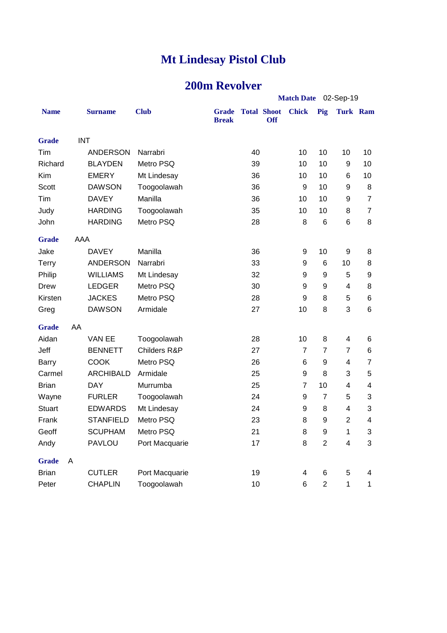### **200m Revolver**

|               |            |                  |                |                              |    |                                  | Match Date 02-Sep-19 |                         |                |                |  |
|---------------|------------|------------------|----------------|------------------------------|----|----------------------------------|----------------------|-------------------------|----------------|----------------|--|
| <b>Name</b>   |            | <b>Surname</b>   | <b>Club</b>    | <b>Grade</b><br><b>Break</b> |    | <b>Total Shoot</b><br><b>Off</b> | <b>Chick</b>         | Pig                     | Turk Ram       |                |  |
| <b>Grade</b>  | <b>INT</b> |                  |                |                              |    |                                  |                      |                         |                |                |  |
| Tim           |            | <b>ANDERSON</b>  | Narrabri       |                              | 40 |                                  | 10                   | 10                      | 10             | 10             |  |
| Richard       |            | <b>BLAYDEN</b>   | Metro PSQ      |                              | 39 |                                  | 10                   | 10                      | 9              | 10             |  |
| Kim           |            | <b>EMERY</b>     | Mt Lindesay    |                              | 36 |                                  | 10                   | 10                      | 6              | 10             |  |
| <b>Scott</b>  |            | <b>DAWSON</b>    | Toogoolawah    |                              | 36 |                                  | 9                    | 10                      | 9              | 8              |  |
| Tim           |            | <b>DAVEY</b>     | Manilla        |                              | 36 |                                  | 10                   | 10                      | 9              | $\overline{7}$ |  |
| Judy          |            | <b>HARDING</b>   | Toogoolawah    |                              | 35 |                                  | 10                   | 10                      | 8              | $\overline{7}$ |  |
| John          |            | <b>HARDING</b>   | Metro PSQ      |                              | 28 |                                  | 8                    | 6                       | 6              | 8              |  |
| <b>Grade</b>  | AAA        |                  |                |                              |    |                                  |                      |                         |                |                |  |
| Jake          |            | <b>DAVEY</b>     | Manilla        |                              | 36 |                                  | 9                    | 10                      | 9              | 8              |  |
| <b>Terry</b>  |            | <b>ANDERSON</b>  | Narrabri       |                              | 33 |                                  | 9                    | 6                       | 10             | 8              |  |
| Philip        |            | <b>WILLIAMS</b>  | Mt Lindesay    |                              | 32 |                                  | 9                    | 9                       | 5              | 9              |  |
| Drew          |            | <b>LEDGER</b>    | Metro PSQ      |                              | 30 |                                  | 9                    | 9                       | 4              | 8              |  |
| Kirsten       |            | <b>JACKES</b>    | Metro PSQ      |                              | 28 |                                  | 9                    | 8                       | 5              | 6              |  |
| Greg          |            | <b>DAWSON</b>    | Armidale       |                              | 27 |                                  | 10                   | 8                       | 3              | 6              |  |
| <b>Grade</b>  | AA         |                  |                |                              |    |                                  |                      |                         |                |                |  |
| Aidan         |            | VAN EE           | Toogoolawah    |                              | 28 |                                  | 10                   | 8                       | 4              | 6              |  |
| Jeff          |            | <b>BENNETT</b>   | Childers R&P   |                              | 27 |                                  | $\overline{7}$       | $\overline{7}$          | $\overline{7}$ | 6              |  |
| Barry         |            | <b>COOK</b>      | Metro PSQ      |                              | 26 |                                  | 6                    | 9                       | 4              | 7              |  |
| Carmel        |            | <b>ARCHIBALD</b> | Armidale       |                              | 25 |                                  | 9                    | 8                       | 3              | 5              |  |
| <b>Brian</b>  |            | <b>DAY</b>       | Murrumba       |                              | 25 |                                  | $\overline{7}$       | 10                      | 4              | 4              |  |
| Wayne         |            | <b>FURLER</b>    | Toogoolawah    |                              | 24 |                                  | 9                    | $\overline{7}$          | 5              | 3              |  |
| <b>Stuart</b> |            | <b>EDWARDS</b>   | Mt Lindesay    |                              | 24 |                                  | 9                    | 8                       | 4              | 3              |  |
| Frank         |            | <b>STANFIELD</b> | Metro PSQ      |                              | 23 |                                  | 8                    | 9                       | $\overline{2}$ | 4              |  |
| Geoff         |            | <b>SCUPHAM</b>   | Metro PSQ      |                              | 21 |                                  | 8                    | 9                       | 1              | 3              |  |
| Andy          |            | <b>PAVLOU</b>    | Port Macquarie |                              | 17 |                                  | 8                    | $\mathbf{2}$            | 4              | 3              |  |
| <b>Grade</b>  | A          |                  |                |                              |    |                                  |                      |                         |                |                |  |
| <b>Brian</b>  |            | <b>CUTLER</b>    | Port Macquarie |                              | 19 |                                  | 4                    | 6                       | 5              | 4              |  |
| Peter         |            | <b>CHAPLIN</b>   | Toogoolawah    |                              | 10 |                                  | 6                    | $\overline{\mathbf{c}}$ | 1              | 1              |  |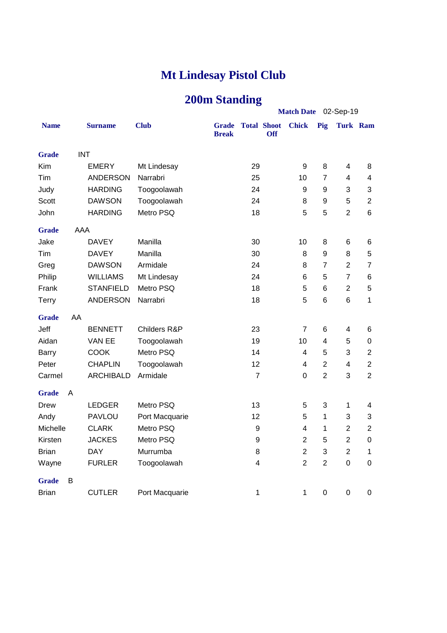### **200m Standing**

|              |            |                  |                |                       |                |                                  | Match Date 02-Sep-19    |                         |                         |                  |  |  |
|--------------|------------|------------------|----------------|-----------------------|----------------|----------------------------------|-------------------------|-------------------------|-------------------------|------------------|--|--|
| <b>Name</b>  |            | <b>Surname</b>   | <b>Club</b>    | Grade<br><b>Break</b> |                | <b>Total Shoot</b><br><b>Off</b> | <b>Chick</b>            | Pig                     | Turk Ram                |                  |  |  |
| <b>Grade</b> | <b>INT</b> |                  |                |                       |                |                                  |                         |                         |                         |                  |  |  |
| Kim          |            | <b>EMERY</b>     | Mt Lindesay    |                       | 29             |                                  | 9                       | 8                       | 4                       | 8                |  |  |
| Tim          |            | <b>ANDERSON</b>  | Narrabri       |                       | 25             |                                  | 10                      | $\overline{7}$          | $\overline{4}$          | $\overline{4}$   |  |  |
| Judy         |            | <b>HARDING</b>   | Toogoolawah    |                       | 24             |                                  | 9                       | 9                       | 3                       | 3                |  |  |
| <b>Scott</b> |            | <b>DAWSON</b>    | Toogoolawah    |                       | 24             |                                  | 8                       | 9                       | 5                       | $\overline{c}$   |  |  |
| John         |            | <b>HARDING</b>   | Metro PSQ      |                       | 18             |                                  | 5                       | 5                       | $\overline{2}$          | $6\phantom{1}$   |  |  |
| <b>Grade</b> | AAA        |                  |                |                       |                |                                  |                         |                         |                         |                  |  |  |
| Jake         |            | <b>DAVEY</b>     | Manilla        |                       | 30             |                                  | 10                      | 8                       | 6                       | 6                |  |  |
| Tim          |            | <b>DAVEY</b>     | Manilla        |                       | 30             |                                  | 8                       | 9                       | 8                       | 5                |  |  |
| Greg         |            | <b>DAWSON</b>    | Armidale       |                       | 24             |                                  | 8                       | $\overline{7}$          | $\overline{2}$          | $\overline{7}$   |  |  |
| Philip       |            | <b>WILLIAMS</b>  | Mt Lindesay    |                       | 24             |                                  | 6                       | 5                       | $\overline{7}$          | 6                |  |  |
| Frank        |            | <b>STANFIELD</b> | Metro PSQ      |                       | 18             |                                  | 5                       | $6\phantom{1}6$         | $\overline{2}$          | 5                |  |  |
| Terry        |            | <b>ANDERSON</b>  | Narrabri       |                       | 18             |                                  | 5                       | $6\phantom{1}6$         | 6                       | 1                |  |  |
| <b>Grade</b> | AA         |                  |                |                       |                |                                  |                         |                         |                         |                  |  |  |
| Jeff         |            | <b>BENNETT</b>   | Childers R&P   |                       | 23             |                                  | $\overline{7}$          | 6                       | 4                       | 6                |  |  |
| Aidan        |            | VAN EE           | Toogoolawah    |                       | 19             |                                  | 10                      | $\overline{\mathbf{4}}$ | 5                       | $\boldsymbol{0}$ |  |  |
| Barry        |            | COOK             | Metro PSQ      |                       | 14             |                                  | 4                       | 5                       | 3                       | $\overline{c}$   |  |  |
| Peter        |            | <b>CHAPLIN</b>   | Toogoolawah    |                       | 12             |                                  | $\overline{\mathbf{4}}$ | $\overline{2}$          | $\overline{\mathbf{4}}$ | $\overline{2}$   |  |  |
| Carmel       |            | <b>ARCHIBALD</b> | Armidale       |                       | $\overline{7}$ |                                  | $\overline{0}$          | $\overline{2}$          | 3                       | $\overline{2}$   |  |  |
| <b>Grade</b> | Α          |                  |                |                       |                |                                  |                         |                         |                         |                  |  |  |
| Drew         |            | <b>LEDGER</b>    | Metro PSQ      |                       | 13             |                                  | 5                       | 3                       | $\mathbf 1$             | 4                |  |  |
| Andy         |            | <b>PAVLOU</b>    | Port Macquarie |                       | 12             |                                  | 5                       | 1                       | 3                       | 3                |  |  |
| Michelle     |            | <b>CLARK</b>     | Metro PSQ      |                       | 9              |                                  | $\overline{\mathbf{4}}$ | 1                       | $\overline{2}$          | $\overline{2}$   |  |  |
| Kirsten      |            | <b>JACKES</b>    | Metro PSQ      |                       | 9              |                                  | $\overline{2}$          | 5                       | $\overline{2}$          | $\boldsymbol{0}$ |  |  |
| <b>Brian</b> |            | <b>DAY</b>       | Murrumba       |                       | 8              |                                  | $\overline{2}$          | 3                       | $\overline{2}$          | 1                |  |  |
| Wayne        |            | <b>FURLER</b>    | Toogoolawah    |                       | 4              |                                  | $\overline{2}$          | $\overline{c}$          | $\mathsf 0$             | $\mathbf 0$      |  |  |
| <b>Grade</b> | B          |                  |                |                       |                |                                  |                         |                         |                         |                  |  |  |
| <b>Brian</b> |            | <b>CUTLER</b>    | Port Macquarie |                       | 1              |                                  | 1                       | $\mathbf 0$             | $\pmb{0}$               | $\boldsymbol{0}$ |  |  |